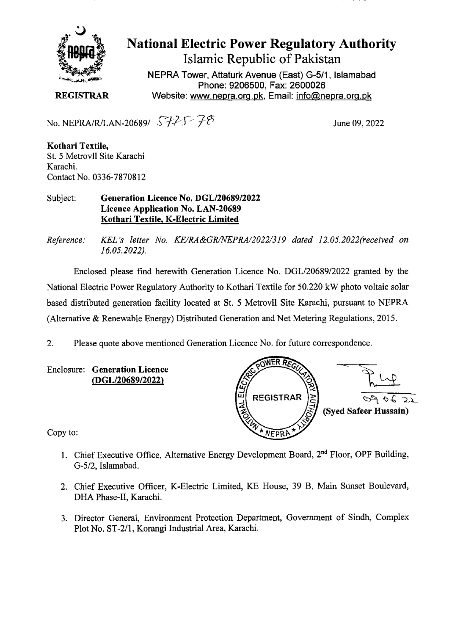

## National Electric Power Regulatory Authority Islamic Republic of Pakistan

**NEPRA Tower, Attaturk Avenue (East) G-5/1, Islamabad Phone: 9206500, Fax: 2600026 REGISTRAR** Website: www.nepra.org.pk, Email: info@nepra.org.pk

No. NEPRA/R/LAN-20689/  $\sqrt{725}$   $\sqrt{28}$  June 09, 2022

**Kothari Textile,**  St. *5* Metrovil Site Karachi Karachi. Contact No. 0336-78708 12

Subject: **Generation Licence No.** *DGL/2068912022*  **Licence Application No. LAN-20689 Kothari Textile, K-Electric Limited** 

*Reference: KEL 's letter No. KE/RA&GR/NEPRA/2022/319 dated 12. 05.2022(received on 16.05.2022).* 

Enclosed please find herewith Generation Licence No. DGL/20689/2022 granted by the National Electric Power Regulatory Authority to Kothari Textile for 50.220 kW photo voltaic solar based distributed generation facility located at St. *5* Metrovil Site Karachi, pursuant to NEPRA (Alternative & Renewable Energy) Distributed Generation and Net Metering Regulations, 2015.

2. Please quote above mentioned Generation Licence No. for future correspondence.

Enclosure: **Generation Licence**  *(DGL12068912022)* 



Copy to:

- 1. Chief Executive Office, Alternative Energy Development Board, 2<sup>nd</sup> Floor, OPF Building, G-5/2, Islamabad.
- 2. Chief Executive Officer, K-Electric Limited, KE House, 39 B, Main Sunset Boulevard, DHA Phase-Il, Karachi.
- 3. Director General, Environment Protection Department, Government of Sindh, Complex Plot No. ST-2/1, Korangi Industrial Area, Karachi.